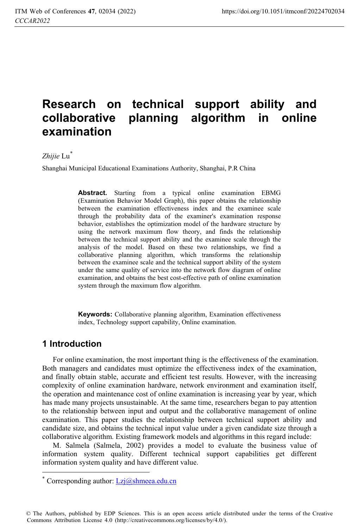# **Research on technical support ability and collaborative planning algorithm in online examination**

### *Zhijie* Lu\*

Shanghai Municipal Educational Examinations Authority, Shanghai, P.R China

**Abstract.** Starting from a typical online examination EBMG (Examination Behavior Model Graph), this paper obtains the relationship between the examination effectiveness index and the examinee scale through the probability data of the examiner's examination response behavior, establishes the optimization model of the hardware structure by using the network maximum flow theory, and finds the relationship between the technical support ability and the examinee scale through the analysis of the model. Based on these two relationships, we find a collaborative planning algorithm, which transforms the relationship between the examinee scale and the technical support ability of the system under the same quality of service into the network flow diagram of online examination, and obtains the best cost-effective path of online examination system through the maximum flow algorithm.

**Keywords:** Collaborative planning algorithm, Examination effectiveness index, Technology support capability, Online examination.

# **1 Introduction**

 $\ddot{\phantom{a}}$ 

For online examination, the most important thing is the effectiveness of the examination. Both managers and candidates must optimize the effectiveness index of the examination, and finally obtain stable, accurate and efficient test results. However, with the increasing complexity of online examination hardware, network environment and examination itself, the operation and maintenance cost of online examination is increasing year by year, which has made many projects unsustainable. At the same time, researchers began to pay attention to the relationship between input and output and the collaborative management of online examination. This paper studies the relationship between technical support ability and candidate size, and obtains the technical input value under a given candidate size through a collaborative algorithm. Existing framework models and algorithms in this regard include:

M. Salmela (Salmela, 2002) provides a model to evaluate the business value of information system quality. Different technical support capabilities get different information system quality and have different value.

© The Authors, published by EDP Sciences. This is an open access article distributed under the terms of the Creative Commons Attribution License 4.0 (http://creativecommons.org/licenses/by/4.0/).

<sup>\*</sup> Corresponding author: Lzj@shmeea.edu.cn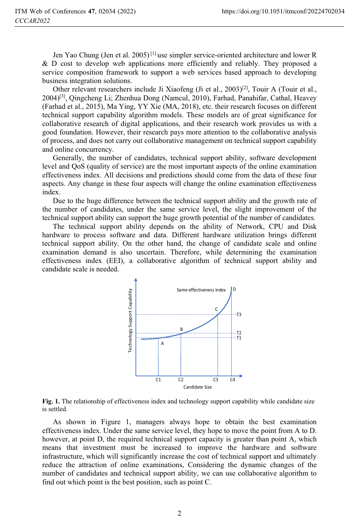Jen Yao Chung (Jen et al. 2005)<sup>[1]</sup> use simpler service-oriented architecture and lower R & D cost to develop web applications more efficiently and reliably. They proposed a service composition framework to support a web services based approach to developing business integration solutions.

Other relevant researchers include Ji Xiaofeng (Ji et al., 2003)[2], Touir A (Touir et al., 2004)[3], Qingcheng Li; Zhenhua Dong (Namcul, 2010), Farhad, Panahifar, Cathal, Heavey (Farhad et al., 2015), Ma Ying, YY Xie (MA, 2018), etc. their research focuses on different technical support capability algorithm models. These models are of great significance for collaborative research of digital applications, and their research work provides us with a good foundation. However, their research pays more attention to the collaborative analysis of process, and does not carry out collaborative management on technical support capability and online concurrency.

Generally, the number of candidates, technical support ability, software development level and QoS (quality of service) are the most important aspects of the online examination effectiveness index. All decisions and predictions should come from the data of these four aspects. Any change in these four aspects will change the online examination effectiveness index.

Due to the huge difference between the technical support ability and the growth rate of the number of candidates, under the same service level, the slight improvement of the technical support ability can support the huge growth potential of the number of candidates.

The technical support ability depends on the ability of Network, CPU and Disk hardware to process software and data. Different hardware utilization brings different technical support ability. On the other hand, the change of candidate scale and online examination demand is also uncertain. Therefore, while determining the examination effectiveness index (EEI), a collaborative algorithm of technical support ability and candidate scale is needed.



**Fig. 1.** The relationship of effectiveness index and technology support capability while candidate size is settled.

As shown in Figure 1, managers always hope to obtain the best examination effectiveness index. Under the same service level, they hope to move the point from A to D. however, at point D, the required technical support capacity is greater than point A, which means that investment must be increased to improve the hardware and software infrastructure, which will significantly increase the cost of technical support and ultimately reduce the attraction of online examinations, Considering the dynamic changes of the number of candidates and technical support ability, we can use collaborative algorithm to find out which point is the best position, such as point C.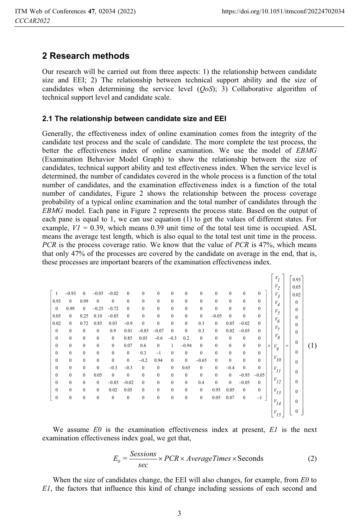# **2 Research methods**

Our research will be carried out from three aspects: 1) the relationship between candidate size and EEI; 2) The relationship between technical support ability and the size of candidates when determining the service level (*QoS*); 3) Collaborative algorithm of technical support level and candidate scale.

#### **2.1 The relationship between candidate size and EEI**

Generally, the effectiveness index of online examination comes from the integrity of the candidate test process and the scale of candidate. The more complete the test process, the better the effectiveness index of online examination. We use the model of *EBMG* (Examination Behavior Model Graph) to show the relationship between the size of candidates, technical support ability and test effectiveness index. When the service level is determined, the number of candidates covered in the whole process is a function of the total number of candidates, and the examination effectiveness index is a function of the total number of candidates, Figure 2 shows the relationship between the process coverage probability of a typical online examination and the total number of candidates through the *EBMG* model. Each pane in Figure 2 represents the process state. Based on the output of each pane is equal to 1, we can use equation (1) to get the values of different states. For example,  $VI = 0.39$ , which means 0.39 unit time of the total test time is occupied. ASL means the average test length, which is also equal to the total test unit time in the process. *PCR* is the process coverage ratio. We know that the value of *PCR* is 47%, which means that only 47% of the processes are covered by the candidate on average in the end, that is, these processes are important bearers of the examination effectiveness index.

|                  |                  |                  |              |              |              |              |                  |                  |                  |                  |              |                  |              |              | $V_I$              |           | 0.93         |     |
|------------------|------------------|------------------|--------------|--------------|--------------|--------------|------------------|------------------|------------------|------------------|--------------|------------------|--------------|--------------|--------------------|-----------|--------------|-----|
|                  |                  |                  |              |              |              |              |                  |                  |                  |                  |              |                  |              |              | $V_2$              |           | 0.05         |     |
| $\overline{1}$   | $-0.93$          | $\mathbf{0}$     | $-0.05$      | $-0.02$      | $\mathbf{0}$ | $\mathbf{0}$ | $\mathbf{0}$     | $\mathbf{0}$     | $\mathbf{0}$     | $\mathbf{0}$     | $\mathbf{0}$ | $\mathbf{0}$     | $\mathbf{0}$ | $\mathbf{0}$ | $V_3$              |           | 0.02         |     |
| 0.93             | $\mathbf{0}$     | 0.99             | $\mathbf{0}$ | $\mathbf{0}$ | $\mathbf{0}$ | $\bf{0}$     | $\bf{0}$         | $\boldsymbol{0}$ | $\boldsymbol{0}$ | $\boldsymbol{0}$ | $\mathbf{0}$ | $\boldsymbol{0}$ | $\bf{0}$     | $\mathbf{0}$ | $V_{\overline{4}}$ |           | $\theta$     |     |
| $\bf{0}$         | 0.99             | $\mathbf{0}$     | $-0.25$      | $-0.72$      | $\mathbf{0}$ | $\bf{0}$     | $\boldsymbol{0}$ | $\boldsymbol{0}$ | $\boldsymbol{0}$ | $\boldsymbol{0}$ | $\bf{0}$     | $\boldsymbol{0}$ | $\bf{0}$     | $\mathbf{0}$ | $V_5$              |           | $\theta$     |     |
| 0.05             | $\mathbf{0}$     | 0.25             | 0.10         | $-0.85$      | $\mathbf{0}$ | $\mathbf{0}$ | $\boldsymbol{0}$ | $\boldsymbol{0}$ | $\boldsymbol{0}$ | $\bf{0}$         | $-0.05$      | $\mathbf{0}$     | $\mathbf{0}$ | $\mathbf{0}$ |                    |           | $\Omega$     |     |
| 0.02             | $\mathbf{0}$     | 0.72             | 0.85         | 0.03         | $-0.9$       | $\bf{0}$     | $\boldsymbol{0}$ | $\boldsymbol{0}$ | $\boldsymbol{0}$ | 0.3              | $\mathbf{0}$ | 0.85             | $-0.02$      | $\mathbf{0}$ | $V_{6}$            |           | $\Omega$     |     |
| $\bf{0}$         | $\mathbf{0}$     | $\mathbf{0}$     | $\mathbf{0}$ | 0.9          | 0.01         | $-0.85$      | $-0.07$          | $\mathbf{0}$     | $\mathbf{0}$     | 0.3              | $\mathbf{0}$ | 0.02             | $-0.05$      | $\theta$     | $V_7$              |           | $\Omega$     |     |
| $\boldsymbol{0}$ | $\mathbf{0}$     | $\mathbf{0}$     | $\mathbf{0}$ | $\mathbf{0}$ | 0.85         | 0.03         | $-0.6$           | $-0.3$           | 0.2              | $\mathbf{0}$     | $\mathbf{0}$ | $\bf{0}$         | $\bf{0}$     | $\mathbf{0}$ | $V_{g}$            |           |              |     |
| $\boldsymbol{0}$ | $\mathbf{0}$     | $\mathbf{0}$     | $\mathbf{0}$ | $\mathbf{0}$ | 0.07         | 0.6          | $\mathbf{0}$     | 1                | $-0.94$          | $\mathbf{0}$     | $\mathbf{0}$ | $\mathbf{0}$     | $\mathbf{0}$ | $\mathbf{0}$ | $\times$<br>$V_g$  | $\quad =$ | $\Omega$     | (1) |
| $\boldsymbol{0}$ | $\mathbf{0}$     | $\mathbf{0}$     | $\mathbf{0}$ | $\mathbf{0}$ | $\mathbf{0}$ | 0.3          | $-1$             | $\bf{0}$         | $\boldsymbol{0}$ | $\boldsymbol{0}$ | $\mathbf{0}$ | $\boldsymbol{0}$ | $\bf{0}$     | $\mathbf{0}$ |                    |           | $\Omega$     |     |
| $\boldsymbol{0}$ | $\mathbf{0}$     | $\mathbf{0}$     | $\mathbf{0}$ | $\mathbf{0}$ | $\mathbf{0}$ | $-0.2$       | 0.94             | $\mathbf{0}$     | $\boldsymbol{0}$ | $-0.65$          | $\mathbf{0}$ | $\mathbf{0}$     | $\bf{0}$     | $\mathbf{0}$ | $V_{I0}$           |           | $\theta$     |     |
| $\boldsymbol{0}$ | $\boldsymbol{0}$ | $\mathbf{0}$     | $\mathbf{0}$ | $-0.3$       | $-0.3$       | $\bf{0}$     | $\bf{0}$         | $\boldsymbol{0}$ | 0.65             | $\bf{0}$         | $\bf{0}$     | $-0.4$           | $\bf{0}$     | $\mathbf{0}$ | $V_{II}$           |           |              |     |
| $\boldsymbol{0}$ | $\mathbf{0}$     | $\mathbf{0}$     | 0.05         | $\mathbf{0}$ | $\mathbf{0}$ | $\mathbf{0}$ | $\bf{0}$         | $\mathbf{0}$     | $\boldsymbol{0}$ | $\boldsymbol{0}$ | $\mathbf{0}$ | $\mathbf{0}$     | $-0.95$      | $-0.05$      |                    |           | $\Omega$     |     |
| $\boldsymbol{0}$ | $\mathbf{0}$     | $\mathbf{0}$     | $\mathbf{0}$ | $-0.85$      | $-0.02$      | $\mathbf{0}$ | $\boldsymbol{0}$ | $\boldsymbol{0}$ | $\mathbf{0}$     | 0.4              | $\mathbf{0}$ | $\mathbf{0}$     | $-0.05$      | $\theta$     | $V_{I2}$           |           | $\Omega$     |     |
| $\boldsymbol{0}$ | $\mathbf{0}$     | $\boldsymbol{0}$ | $\mathbf{0}$ | 0.02         | 0.05         | $\mathbf{0}$ | $\boldsymbol{0}$ | $\mathbf{0}$     | $\boldsymbol{0}$ | $\boldsymbol{0}$ | 0.95         | 0.05             | $\mathbf{0}$ | $\mathbf{0}$ | $V_{I3}$           |           | $\theta$     |     |
| $\boldsymbol{0}$ | $\mathbf{0}$     | $\boldsymbol{0}$ | $\mathbf{0}$ | $\mathbf{0}$ | $\bf{0}$     | $\bf{0}$     | $\boldsymbol{0}$ | $\boldsymbol{0}$ | $\boldsymbol{0}$ | $\boldsymbol{0}$ | 0.05         | 0.07             | $\bf{0}$     | $-1$         |                    |           |              |     |
|                  |                  |                  |              |              |              |              |                  |                  |                  |                  |              |                  |              |              | $V_{I4}$           |           | $\Omega$     |     |
|                  |                  |                  |              |              |              |              |                  |                  |                  |                  |              |                  |              |              | $V_{15}$           |           | $\mathbf{0}$ |     |
|                  |                  |                  |              |              |              |              |                  |                  |                  |                  |              |                  |              |              |                    |           |              |     |

We assume *E0* is the examination effectiveness index at present, *E1* is the next examination effectiveness index goal, we get that,

$$
E_0 = \frac{Sessions}{sec} \times PCR \times AverageTimes \times seconds
$$
 (2)

When the size of candidates change, the EEI will also changes, for example, from *E0* to *E1*, the factors that influence this kind of change including sessions of each second and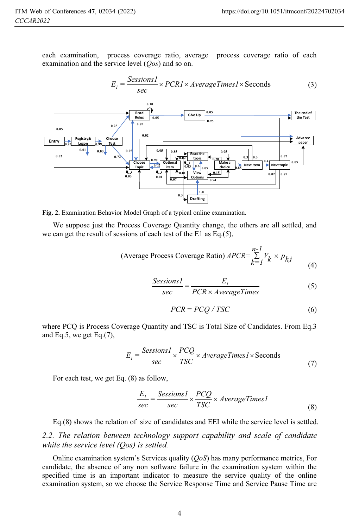each examination, process coverage ratio, average process coverage ratio of each examination and the service level (*Qos*) and so on.

$$
E_{I} = \frac{SessionsI}{sec} \times PCR1 \times AverageTimes1 \times Seconds
$$
 (3)



**Fig. 2.** Examination Behavior Model Graph of a typical online examination.

We suppose just the Process Coverage Quantity change, the others are all settled, and we can get the result of sessions of each test of the E1 as Eq.(5),

(Average Process Coverage Ratio) 
$$
APCR = \sum_{k=1}^{n-1} V_k \times p_{k,i}
$$
 (4)

$$
\frac{Sessions1}{sec} = \frac{E_1}{PCR \times AverageTimes}
$$
 (5)

$$
PCR = PCQ / TSC \tag{6}
$$

where PCQ is Process Coverage Quantity and TSC is Total Size of Candidates. From Eq.3 and Eq.5, we get Eq.(7),

$$
E_{I} = \frac{SessionsI}{sec} \times \frac{PCQ}{TSC} \times AverageTimesI \times seconds
$$
\n(7)

For each test, we get Eq. (8) as follow,

$$
\frac{E_1}{sec} = \frac{Sessions1}{sec} \times \frac{PCQ}{TSC} \times AverageTimes1
$$
\n(8)

Eq.(8) shows the relation of size of candidates and EEI while the service level is settled.

*2.2. The relation between technology support capability and scale of candidate while the service level (Qos) is settled.*

Online examination system's Services quality (*QoS*) has many performance metrics, For candidate, the absence of any non software failure in the examination system within the specified time is an important indicator to measure the service quality of the online examination system, so we choose the Service Response Time and Service Pause Time are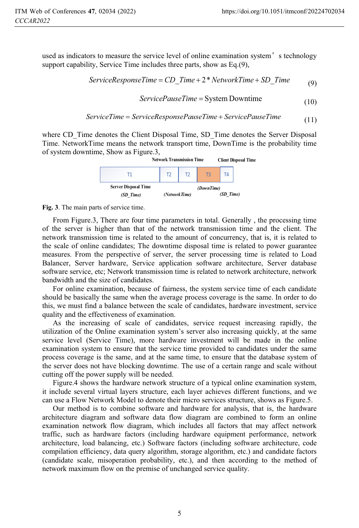used as indicators to measure the service level of online examination system<sup>'</sup> s technology support capability, Service Time includes three parts, show as Eq.(9),

$$
ServiceResponseTime = CD\_Time + 2*NetworkTime + SD\_Time
$$
 (9)

$$
ServicePauseTime = System Downtime
$$
\n(10)

$$
ServiceTime = ServiceResponsePauseTime + ServicePauseTime
$$
\n(11)

where CD. Time denotes the Client Disposal Time, SD. Time denotes the Server Disposal Time. NetworkTime means the network transport time, DownTime is the probability time of system downtime, Show as Figure.3,



**Fig. 3**. The main parts of service time.

From Figure.3, There are four time parameters in total. Generally , the processing time of the server is higher than that of the network transmission time and the client. The network transmission time is related to the amount of concurrency, that is, it is related to the scale of online candidates; The downtime disposal time is related to power guarantee measures. From the perspective of server, the server processing time is related to Load Balancer, Server hardware, Service application software architecture, Server database software service, etc; Network transmission time is related to network architecture, network bandwidth and the size of candidates.

For online examination, because of fairness, the system service time of each candidate should be basically the same when the average process coverage is the same. In order to do this, we must find a balance between the scale of candidates, hardware investment, service quality and the effectiveness of examination.

As the increasing of scale of candidates, service request increasing rapidly, the utilization of the Online examination system's server also increasing quickly, at the same service level (Service Time), more hardware investment will be made in the online examination system to ensure that the service time provided to candidates under the same process coverage is the same, and at the same time, to ensure that the database system of the server does not have blocking downtime. The use of a certain range and scale without cutting off the power supply will be needed.

Figure.4 shows the hardware network structure of a typical online examination system, it include several virtual layers structure, each layer achieves different functions, and we can use a Flow Network Model to denote their micro services structure, shows as Figure.5.

Our method is to combine software and hardware for analysis, that is, the hardware architecture diagram and software data flow diagram are combined to form an online examination network flow diagram, which includes all factors that may affect network traffic, such as hardware factors (including hardware equipment performance, network architecture, load balancing, etc.) Software factors (including software architecture, code compilation efficiency, data query algorithm, storage algorithm, etc.) and candidate factors (candidate scale, misoperation probability, etc.), and then according to the method of network maximum flow on the premise of unchanged service quality.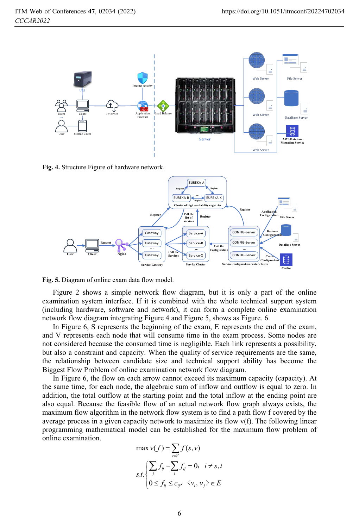

**Fig. 4.** Structure Figure of hardware network.



**Fig. 5.** Diagram of online exam data flow model.

Figure 2 shows a simple network flow diagram, but it is only a part of the online examination system interface. If it is combined with the whole technical support system (including hardware, software and network), it can form a complete online examination network flow diagram integrating Figure 4 and Figure 5, shows as Figure. 6.

In Figure 6, S represents the beginning of the exam, E represents the end of the exam, and V represents each node that will consume time in the exam process. Some nodes are not considered because the consumed time is negligible. Each link represents a possibility, but also a constraint and capacity. When the quality of service requirements are the same, the relationship between candidate size and technical support ability has become the Biggest Flow Problem of online examination network flow diagram.

In Figure 6, the flow on each arrow cannot exceed its maximum capacity (capacity). At the same time, for each node, the algebraic sum of inflow and outflow is equal to zero. In addition, the total outflow at the starting point and the total inflow at the ending point are also equal. Because the feasible flow of an actual network flow graph always exists, the maximum flow algorithm in the network flow system is to find a path flow f covered by the average process in a given capacity network to maximize its flow v(f). The following linear programming mathematical model can be established for the maximum flow problem of online examination.

$$
\max v(f) = \sum_{v \in V} f(s, v)
$$
  

$$
s.t. \begin{cases} \sum_{j} f_{ij} - \sum_{i} f_{ij} = 0, & i \neq s, t \\ 0 \le f_{ij} \le c_{ij}, & \langle v_i, v_j \rangle \in E \end{cases}
$$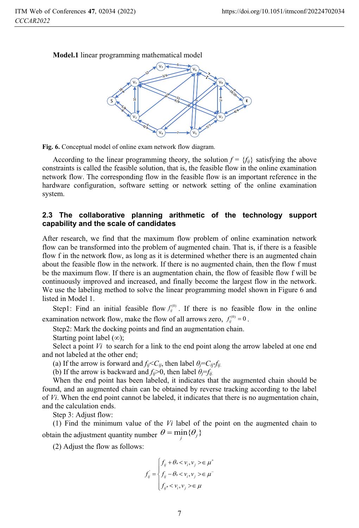

**Model.1** linear programming mathematical model



According to the linear programming theory, the solution  $f = \{f_{ij}\}\$  satisfying the above constraints is called the feasible solution, that is, the feasible flow in the online examination network flow. The corresponding flow in the feasible flow is an important reference in the hardware configuration, software setting or network setting of the online examination system.

#### **2.3 The collaborative planning arithmetic of the technology support capability and the scale of candidates**

After research, we find that the maximum flow problem of online examination network flow can be transformed into the problem of augmented chain. That is, if there is a feasible flow f in the network flow, as long as it is determined whether there is an augmented chain about the feasible flow in the network. If there is no augmented chain, then the flow f must be the maximum flow. If there is an augmentation chain, the flow of feasible flow f will be continuously improved and increased, and finally become the largest flow in the network. We use the labeling method to solve the linear programming model shown in Figure 6 and listed in Model 1.

Step1: Find an initial feasible flow  $f_{ij}^{(0)}$ . If there is no feasible flow in the online examination network flow, make the flow of all arrows zero,  $f_{ij}^{(0)} = 0$ .

Step2: Mark the docking points and find an augmentation chain.

Starting point label  $(\infty)$ ;

Select a point *Vi* to search for a link to the end point along the arrow labeled at one end and not labeled at the other end;

(a) If the arrow is forward and  $f_{ij} < C_{ij}$ , then label  $\theta_j = C_{ij} - f_{ij}$ .

(b) If the arrow is backward and  $f_{ij}$  >0, then label  $\theta_j = f_{ij}$ .

When the end point has been labeled, it indicates that the augmented chain should be found, and an augmented chain can be obtained by reverse tracking according to the label of *Vi*. When the end point cannot be labeled, it indicates that there is no augmentation chain, and the calculation ends.

Step 3: Adjust flow:

(1) Find the minimum value of the *Vi* label of the point on the augmented chain to obtain the adjustment quantity number  $\theta = \min_{j} {\theta_j}$ 

(2) Adjust the flow as follows:

$$
f_{ij} = \begin{cases} f_{ij} + \theta, < v_i, v_j > \in \mu^+ \\ f_{ij} - \theta, < v_i, v_j > \in \mu^- \\ f_{ij} < v_i, v_j > \in \mu \end{cases}
$$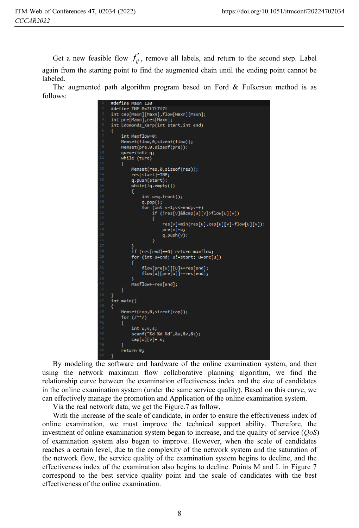Get a new feasible flow  $f_{ij}$ , remove all labels, and return to the second step. Label again from the starting point to find the augmented chain until the ending point cannot be labeled.

The augmented path algorithm program based on Ford & Fulkerson method is as follows:

```
#define Maxn 120
#define INF 0x7f7f7f7f
#derine inf example.<br>int cap[Maxn],[Maxn];<br>int pre[Maxn],res[Maxn];<br>int Edomonds_Karp(int start,int end)
     int Maxflow=0:
     Memset(flow,0, sizeof(flow));
     Memset(pre,0,sizeof(pre));
     queue\ddot{x} q;
     while (ture)
           Memset(res,0,sizeof(res));
           res[start]=INF;
           q.push(start);
           while(lq.empty())int u=q.front();
                 Int u=q.ront();<br>q.pop();<br>for (int v=1;v<=end;v++)<br>if (!res[v]&&cap[u][v]>flow[u][v])<br>{
                             res[v]=min(res[u],cap[u][v]-flow[u][v]);<br>pre[v]=u;
                             q.push(v);}<br>if (res[end]==0) return maxflow;<br>for (int u=end: ul=start: u=ore[
           for (int u=end; u!=start; u=pre[u])
                 flow[pre[u]][u]+=res[end];<br>flow[u][pre[u]]-=res[end];
           Maxflow+=res[end];
     j.
int main()Memset(cap,0,sizeof(cap));
      for (1^{**}/)int u,v,s;<br>scanf("%d %d %d",&u,&v,&s);<br>cap[u][v]+=s;
      return 0:
```
By modeling the software and hardware of the online examination system, and then using the network maximum flow collaborative planning algorithm, we find the relationship curve between the examination effectiveness index and the size of candidates in the online examination system (under the same service quality). Based on this curve, we can effectively manage the promotion and Application of the online examination system.

Via the real network data, we get the Figure.7 as follow,

With the increase of the scale of candidate, in order to ensure the effectiveness index of online examination, we must improve the technical support ability. Therefore, the investment of online examination system began to increase, and the quality of service (*QoS*) of examination system also began to improve. However, when the scale of candidates reaches a certain level, due to the complexity of the network system and the saturation of the network flow, the service quality of the examination system begins to decline, and the effectiveness index of the examination also begins to decline. Points M and L in Figure 7 correspond to the best service quality point and the scale of candidates with the best effectiveness of the online examination.